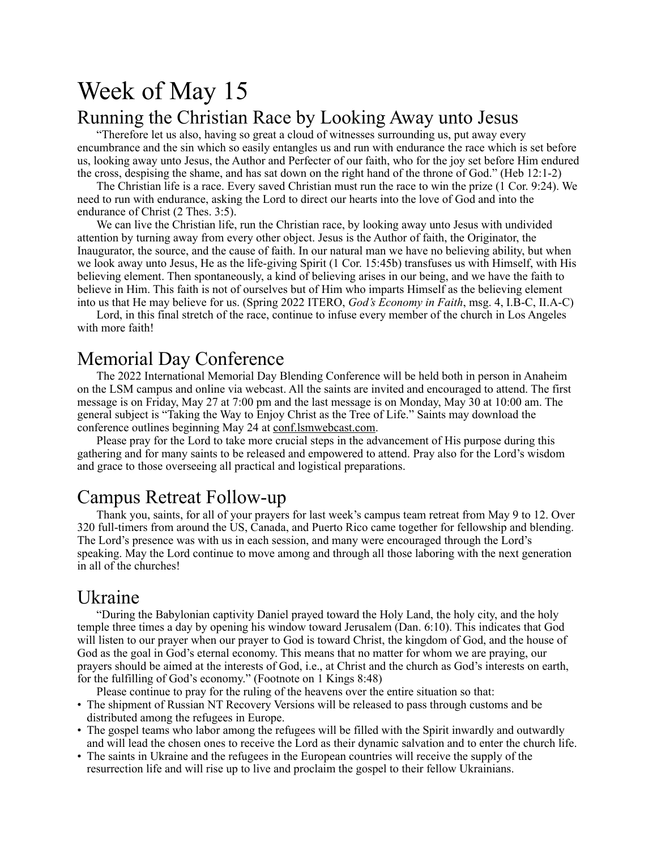# Week of May 15

#### Running the Christian Race by Looking Away unto Jesus

"Therefore let us also, having so great a cloud of witnesses surrounding us, put away every encumbrance and the sin which so easily entangles us and run with endurance the race which is set before us, looking away unto Jesus, the Author and Perfecter of our faith, who for the joy set before Him endured the cross, despising the shame, and has sat down on the right hand of the throne of God." (Heb 12:1-2)

The Christian life is a race. Every saved Christian must run the race to win the prize (1 Cor. 9:24). We need to run with endurance, asking the Lord to direct our hearts into the love of God and into the endurance of Christ (2 Thes. 3:5).

We can live the Christian life, run the Christian race, by looking away unto Jesus with undivided attention by turning away from every other object. Jesus is the Author of faith, the Originator, the Inaugurator, the source, and the cause of faith. In our natural man we have no believing ability, but when we look away unto Jesus, He as the life-giving Spirit (1 Cor. 15:45b) transfuses us with Himself, with His believing element. Then spontaneously, a kind of believing arises in our being, and we have the faith to believe in Him. This faith is not of ourselves but of Him who imparts Himself as the believing element into us that He may believe for us. (Spring 2022 ITERO, *God's Economy in Faith*, msg. 4, I.B-C, II.A-C)

Lord, in this final stretch of the race, continue to infuse every member of the church in Los Angeles with more faith!

#### Memorial Day Conference

The 2022 International Memorial Day Blending Conference will be held both in person in Anaheim on the LSM campus and online via webcast. All the saints are invited and encouraged to attend. The first message is on Friday, May 27 at 7:00 pm and the last message is on Monday, May 30 at 10:00 am. The general subject is "Taking the Way to Enjoy Christ as the Tree of Life." Saints may download the conference outlines beginning May 24 at [conf.lsmwebcast.com.](http://www.conf.lsmwebcast.com/)

Please pray for the Lord to take more crucial steps in the advancement of His purpose during this gathering and for many saints to be released and empowered to attend. Pray also for the Lord's wisdom and grace to those overseeing all practical and logistical preparations.

#### Campus Retreat Follow-up

Thank you, saints, for all of your prayers for last week's campus team retreat from May 9 to 12. Over 320 full-timers from around the US, Canada, and Puerto Rico came together for fellowship and blending. The Lord's presence was with us in each session, and many were encouraged through the Lord's speaking. May the Lord continue to move among and through all those laboring with the next generation in all of the churches!

#### Ukraine

"During the Babylonian captivity Daniel prayed toward the Holy Land, the holy city, and the holy temple three times a day by opening his window toward Jerusalem (Dan. 6:10). This indicates that God will listen to our prayer when our prayer to God is toward Christ, the kingdom of God, and the house of God as the goal in God's eternal economy. This means that no matter for whom we are praying, our prayers should be aimed at the interests of God, i.e., at Christ and the church as God's interests on earth, for the fulfilling of God's economy." (Footnote on 1 Kings 8:48)

Please continue to pray for the ruling of the heavens over the entire situation so that:

- The shipment of Russian NT Recovery Versions will be released to pass through customs and be distributed among the refugees in Europe.
- The gospel teams who labor among the refugees will be filled with the Spirit inwardly and outwardly and will lead the chosen ones to receive the Lord as their dynamic salvation and to enter the church life.
- The saints in Ukraine and the refugees in the European countries will receive the supply of the resurrection life and will rise up to live and proclaim the gospel to their fellow Ukrainians.